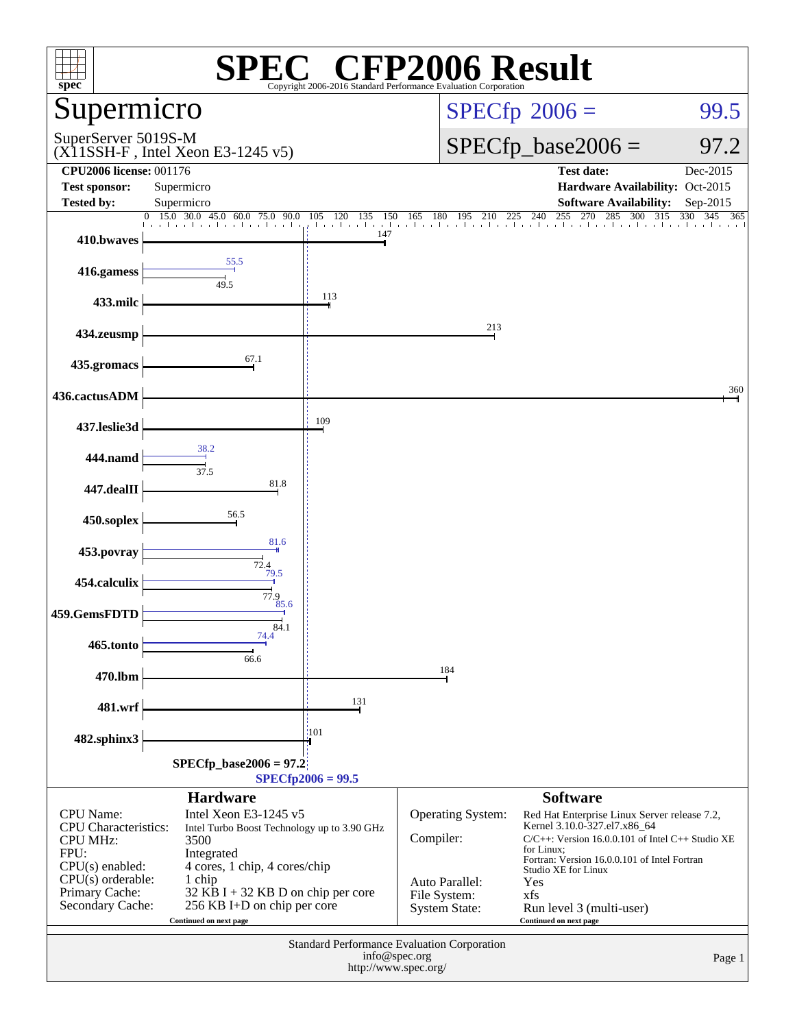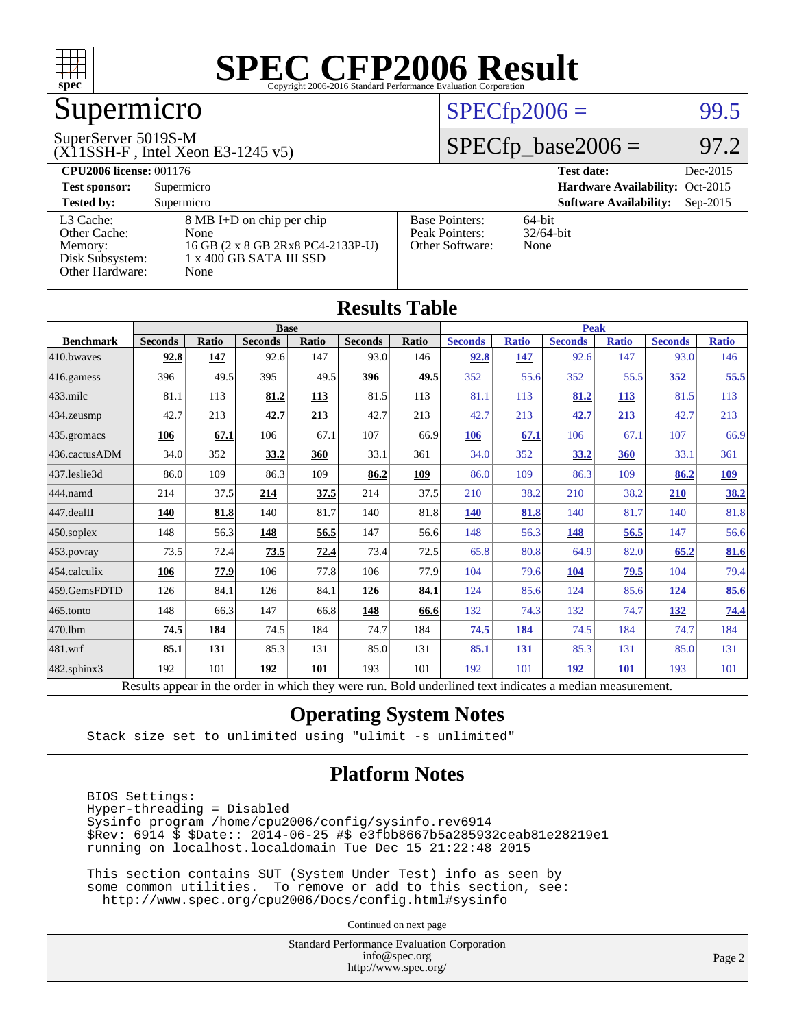

# Supermicro

#### SuperServer 5019S-M

(X11SSH-F , Intel Xeon E3-1245 v5)

#### $SPECTp2006 =$  99.5

#### $SPECTp\_base2006 = 97.2$

| <b>CPU2006 license: 001176</b> |                                   |                                 | <b>Test date:</b><br>Dec-2015               |
|--------------------------------|-----------------------------------|---------------------------------|---------------------------------------------|
| <b>Test sponsor:</b>           | Supermicro                        | Hardware Availability: Oct-2015 |                                             |
| <b>Tested by:</b>              | Supermicro                        |                                 | <b>Software Availability:</b><br>$Sep-2015$ |
| L3 Cache:                      | 8 MB I+D on chip per chip         | <b>Base Pointers:</b>           | $64$ -bit                                   |
| Other Cache:                   | None                              | Peak Pointers:                  | $32/64$ -bit                                |
| Memory:                        | 16 GB (2 x 8 GB 2Rx8 PC4-2133P-U) | Other Software:                 | None                                        |
| Disk Subsystem:                | 1 x 400 GB SATA III SSD           |                                 |                                             |
| Other Hardware:                | None                              |                                 |                                             |

**[Results Table](http://www.spec.org/auto/cpu2006/Docs/result-fields.html#ResultsTable)**

| Results Tadie     |                                                                                                          |       |                |              |                |             |                |              |                |              |                |              |
|-------------------|----------------------------------------------------------------------------------------------------------|-------|----------------|--------------|----------------|-------------|----------------|--------------|----------------|--------------|----------------|--------------|
|                   | <b>Base</b>                                                                                              |       |                |              |                | <b>Peak</b> |                |              |                |              |                |              |
| <b>Benchmark</b>  | <b>Seconds</b>                                                                                           | Ratio | <b>Seconds</b> | <b>Ratio</b> | <b>Seconds</b> | Ratio       | <b>Seconds</b> | <b>Ratio</b> | <b>Seconds</b> | <b>Ratio</b> | <b>Seconds</b> | <b>Ratio</b> |
| 410.bwaves        | 92.8                                                                                                     | 147   | 92.6           | 147          | 93.0           | 146         | 92.8           | 147          | 92.6           | 147          | 93.0           | 146          |
| $416$ .gamess     | 396                                                                                                      | 49.5  | 395            | 49.5         | 396            | 49.5        | 352            | 55.6         | 352            | 55.5         | 352            | 55.5         |
| $433$ .milc       | 81.1                                                                                                     | 113   | 81.2           | 113          | 81.5           | 113         | 81.1           | 113          | 81.2           | 113          | 81.5           | 113          |
| 434.zeusmp        | 42.7                                                                                                     | 213   | 42.7           | 213          | 42.7           | 213         | 42.7           | 213          | 42.7           | 213          | 42.7           | 213          |
| 435.gromacs       | 106                                                                                                      | 67.1  | 106            | 67.1         | 107            | 66.9        | 106            | 67.1         | 106            | 67.1         | 107            | 66.9         |
| 436.cactusADM     | 34.0                                                                                                     | 352   | 33.2           | 360          | 33.1           | 361         | 34.0           | 352          | 33.2           | 360          | 33.1           | 361          |
| 437.leslie3d      | 86.0                                                                                                     | 109   | 86.3           | 109          | 86.2           | 109         | 86.0           | 109          | 86.3           | 109          | 86.2           | <u>109</u>   |
| 444.namd          | 214                                                                                                      | 37.5  | 214            | 37.5         | 214            | 37.5        | 210            | 38.2         | 210            | 38.2         | 210            | 38.2         |
| 447.dealII        | 140                                                                                                      | 81.8  | 140            | 81.7         | 140            | 81.8        | <b>140</b>     | 81.8         | 140            | 81.7         | 140            | 81.8         |
| $450$ .soplex     | 148                                                                                                      | 56.3  | 148            | 56.5         | 147            | 56.6        | 148            | 56.3         | 148            | 56.5         | 147            | 56.6         |
| 453.povray        | 73.5                                                                                                     | 72.4  | 73.5           | 72.4         | 73.4           | 72.5        | 65.8           | 80.8         | 64.9           | 82.0         | 65.2           | 81.6         |
| 454.calculix      | 106                                                                                                      | 77.9  | 106            | 77.8         | 106            | 77.9        | 104            | 79.6         | 104            | 79.5         | 104            | 79.4         |
| 459.GemsFDTD      | 126                                                                                                      | 84.1  | 126            | 84.1         | 126            | 84.1        | 124            | 85.6         | 124            | 85.6         | 124            | 85.6         |
| 465.tonto         | 148                                                                                                      | 66.3  | 147            | 66.8         | <b>148</b>     | 66.6        | 132            | 74.3         | 132            | 74.7         | <u>132</u>     | 74.4         |
| 470.1bm           | 74.5                                                                                                     | 184   | 74.5           | 184          | 74.7           | 184         | 74.5           | 184          | 74.5           | 184          | 74.7           | 184          |
| 481.wrf           | 85.1                                                                                                     | 131   | 85.3           | 131          | 85.0           | 131         | 85.1           | 131          | 85.3           | 131          | 85.0           | 131          |
| $482$ .sphinx $3$ | 192                                                                                                      | 101   | 192            | 101          | 193            | 101         | 192            | 101          | 192            | <b>101</b>   | 193            | 101          |
|                   | Results appear in the order in which they were run. Bold underlined text indicates a median measurement. |       |                |              |                |             |                |              |                |              |                |              |

#### **[Operating System Notes](http://www.spec.org/auto/cpu2006/Docs/result-fields.html#OperatingSystemNotes)**

Stack size set to unlimited using "ulimit -s unlimited"

#### **[Platform Notes](http://www.spec.org/auto/cpu2006/Docs/result-fields.html#PlatformNotes)**

 BIOS Settings: Hyper-threading = Disabled Sysinfo program /home/cpu2006/config/sysinfo.rev6914 \$Rev: 6914 \$ \$Date:: 2014-06-25 #\$ e3fbb8667b5a285932ceab81e28219e1 running on localhost.localdomain Tue Dec 15 21:22:48 2015

 This section contains SUT (System Under Test) info as seen by some common utilities. To remove or add to this section, see: <http://www.spec.org/cpu2006/Docs/config.html#sysinfo>

Continued on next page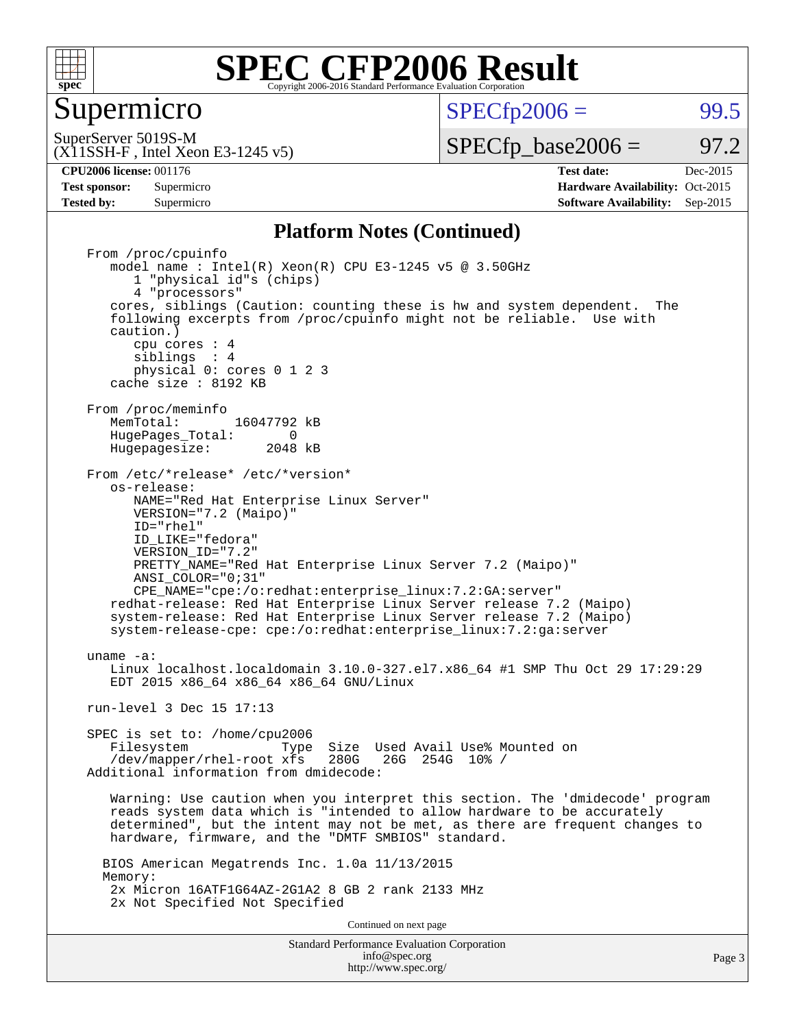

#### Supermicro

 $SPECTp2006 = 99.5$ 

(X11SSH-F , Intel Xeon E3-1245 v5) SuperServer 5019S-M

 $SPECTp\_base2006 = 97.2$ 

**[CPU2006 license:](http://www.spec.org/auto/cpu2006/Docs/result-fields.html#CPU2006license)** 001176 **[Test date:](http://www.spec.org/auto/cpu2006/Docs/result-fields.html#Testdate)** Dec-2015 **[Test sponsor:](http://www.spec.org/auto/cpu2006/Docs/result-fields.html#Testsponsor)** Supermicro Supermicro **[Hardware Availability:](http://www.spec.org/auto/cpu2006/Docs/result-fields.html#HardwareAvailability)** Oct-2015 **[Tested by:](http://www.spec.org/auto/cpu2006/Docs/result-fields.html#Testedby)** Supermicro **Supermicro [Software Availability:](http://www.spec.org/auto/cpu2006/Docs/result-fields.html#SoftwareAvailability)** Sep-2015

#### **[Platform Notes \(Continued\)](http://www.spec.org/auto/cpu2006/Docs/result-fields.html#PlatformNotes)**

Standard Performance Evaluation Corporation [info@spec.org](mailto:info@spec.org) From /proc/cpuinfo model name : Intel(R) Xeon(R) CPU E3-1245 v5 @ 3.50GHz 1 "physical id"s (chips) 4 "processors" cores, siblings (Caution: counting these is hw and system dependent. The following excerpts from /proc/cpuinfo might not be reliable. Use with caution.) cpu cores : 4 siblings : 4 physical 0: cores 0 1 2 3 cache size : 8192 KB From /proc/meminfo<br>MemTotal: 16047792 kB HugePages\_Total: 0<br>Hugepagesize: 2048 kB Hugepagesize: From /etc/\*release\* /etc/\*version\* os-release: NAME="Red Hat Enterprise Linux Server" VERSION="7.2 (Maipo)" ID="rhel" ID\_LIKE="fedora" VERSION\_ID="7.2" PRETTY NAME="Red Hat Enterprise Linux Server 7.2 (Maipo)" ANSI\_COLOR="0;31" CPE\_NAME="cpe:/o:redhat:enterprise\_linux:7.2:GA:server" redhat-release: Red Hat Enterprise Linux Server release 7.2 (Maipo) system-release: Red Hat Enterprise Linux Server release 7.2 (Maipo) system-release-cpe: cpe:/o:redhat:enterprise\_linux:7.2:ga:server uname -a: Linux localhost.localdomain 3.10.0-327.el7.x86\_64 #1 SMP Thu Oct 29 17:29:29 EDT 2015 x86\_64 x86\_64 x86\_64 GNU/Linux run-level 3 Dec 15 17:13 SPEC is set to: /home/cpu2006 Type Size Used Avail Use% Mounted on /dev/mapper/rhel-root xfs 280G 26G 254G 10% / Additional information from dmidecode: Warning: Use caution when you interpret this section. The 'dmidecode' program reads system data which is "intended to allow hardware to be accurately determined", but the intent may not be met, as there are frequent changes to hardware, firmware, and the "DMTF SMBIOS" standard. BIOS American Megatrends Inc. 1.0a 11/13/2015 Memory: 2x Micron 16ATF1G64AZ-2G1A2 8 GB 2 rank 2133 MHz 2x Not Specified Not Specified Continued on next page

<http://www.spec.org/>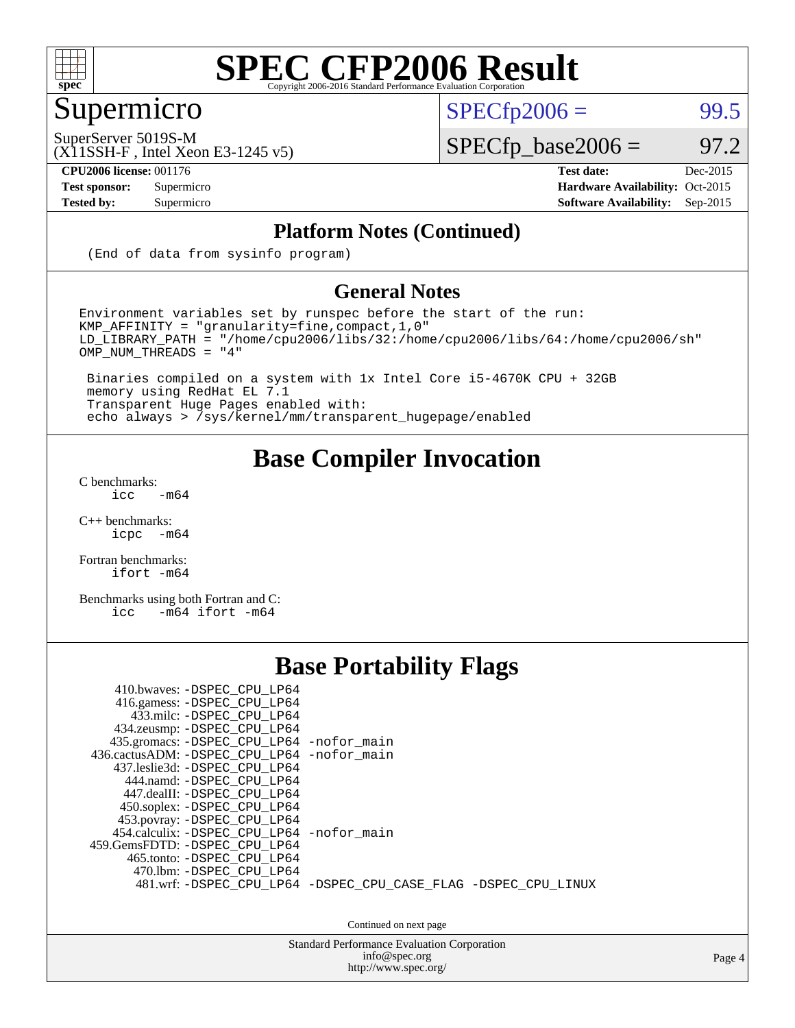

## Supermicro

 $SPECTp2006 =$  99.5

SuperServer 5019S-M

(X11SSH-F , Intel Xeon E3-1245 v5)

 $SPECfp\_base2006 = 97.2$ 

**[CPU2006 license:](http://www.spec.org/auto/cpu2006/Docs/result-fields.html#CPU2006license)** 001176 **[Test date:](http://www.spec.org/auto/cpu2006/Docs/result-fields.html#Testdate)** Dec-2015

#### **[Test sponsor:](http://www.spec.org/auto/cpu2006/Docs/result-fields.html#Testsponsor)** Supermicro Supermicro **[Hardware Availability:](http://www.spec.org/auto/cpu2006/Docs/result-fields.html#HardwareAvailability)** Oct-2015 **[Tested by:](http://www.spec.org/auto/cpu2006/Docs/result-fields.html#Testedby)** Supermicro **[Software Availability:](http://www.spec.org/auto/cpu2006/Docs/result-fields.html#SoftwareAvailability)** Sep-2015

#### **[Platform Notes \(Continued\)](http://www.spec.org/auto/cpu2006/Docs/result-fields.html#PlatformNotes)**

(End of data from sysinfo program)

#### **[General Notes](http://www.spec.org/auto/cpu2006/Docs/result-fields.html#GeneralNotes)**

Environment variables set by runspec before the start of the run:  $KMP_A$ FFINITY = "granularity=fine, compact, 1, 0" LD\_LIBRARY\_PATH = "/home/cpu2006/libs/32:/home/cpu2006/libs/64:/home/cpu2006/sh" OMP\_NUM\_THREADS = "4"

 Binaries compiled on a system with 1x Intel Core i5-4670K CPU + 32GB memory using RedHat EL 7.1 Transparent Huge Pages enabled with: echo always > /sys/kernel/mm/transparent\_hugepage/enabled

#### **[Base Compiler Invocation](http://www.spec.org/auto/cpu2006/Docs/result-fields.html#BaseCompilerInvocation)**

[C benchmarks](http://www.spec.org/auto/cpu2006/Docs/result-fields.html#Cbenchmarks):  $\text{icc}$  -m64

 $C++$  benchmarks:<br>icpc  $-m$ -m64

[Fortran benchmarks](http://www.spec.org/auto/cpu2006/Docs/result-fields.html#Fortranbenchmarks): [ifort -m64](http://www.spec.org/cpu2006/results/res2016q1/cpu2006-20151217-38458.flags.html#user_FCbase_intel_ifort_64bit_ee9d0fb25645d0210d97eb0527dcc06e)

[Benchmarks using both Fortran and C](http://www.spec.org/auto/cpu2006/Docs/result-fields.html#BenchmarksusingbothFortranandC): [icc -m64](http://www.spec.org/cpu2006/results/res2016q1/cpu2006-20151217-38458.flags.html#user_CC_FCbase_intel_icc_64bit_0b7121f5ab7cfabee23d88897260401c) [ifort -m64](http://www.spec.org/cpu2006/results/res2016q1/cpu2006-20151217-38458.flags.html#user_CC_FCbase_intel_ifort_64bit_ee9d0fb25645d0210d97eb0527dcc06e)

#### **[Base Portability Flags](http://www.spec.org/auto/cpu2006/Docs/result-fields.html#BasePortabilityFlags)**

| 410.bwaves: -DSPEC CPU LP64<br>416.gamess: -DSPEC_CPU_LP64<br>433.milc: -DSPEC CPU LP64<br>434.zeusmp: - DSPEC_CPU_LP64<br>435.gromacs: -DSPEC_CPU_LP64 -nofor_main<br>436.cactusADM: -DSPEC CPU LP64 -nofor main<br>437.leslie3d: -DSPEC CPU LP64<br>444.namd: -DSPEC CPU LP64<br>447.dealII: -DSPEC CPU LP64 |                                                                |
|----------------------------------------------------------------------------------------------------------------------------------------------------------------------------------------------------------------------------------------------------------------------------------------------------------------|----------------------------------------------------------------|
| 450.soplex: -DSPEC_CPU_LP64<br>453.povray: -DSPEC_CPU_LP64<br>454.calculix: - DSPEC CPU LP64 - nofor main<br>459.GemsFDTD: -DSPEC CPU LP64<br>465.tonto: -DSPEC CPU LP64<br>470.1bm: - DSPEC CPU LP64                                                                                                          | 481.wrf: -DSPEC CPU_LP64 -DSPEC_CPU_CASE_FLAG -DSPEC_CPU_LINUX |

Continued on next page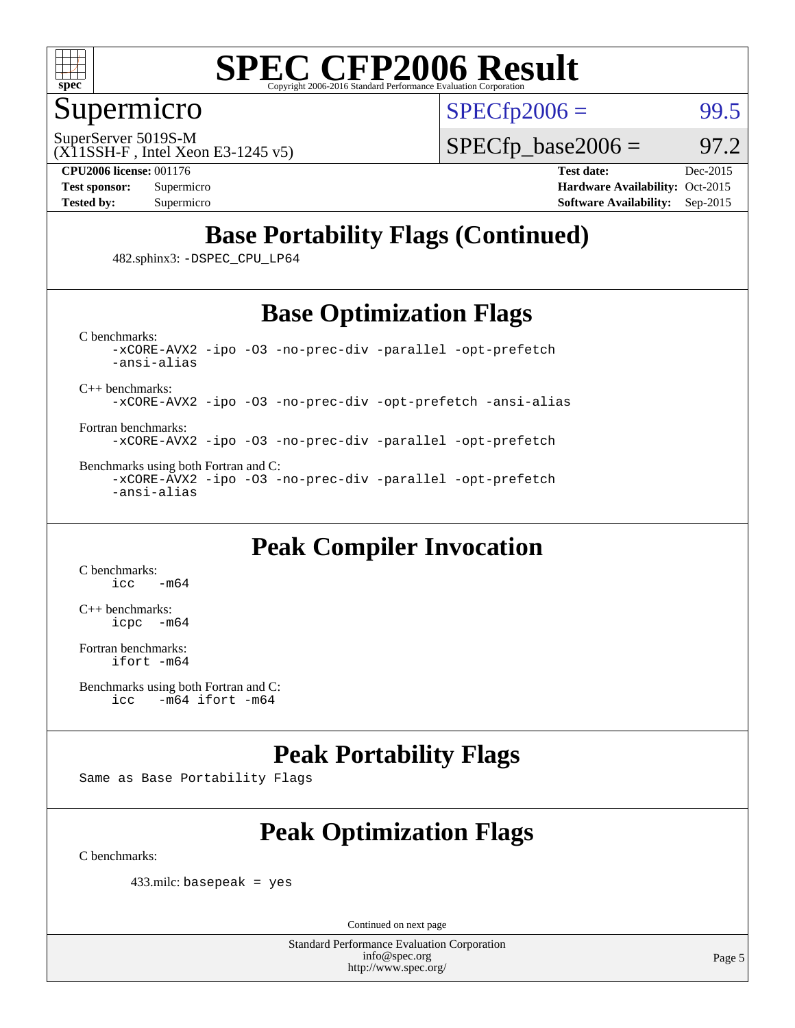

#### Supermicro

SuperServer 5019S-M

 $SPECTp2006 =$  99.5

 $SPECTp\_base2006 = 97.2$ 

(X11SSH-F , Intel Xeon E3-1245 v5) **[CPU2006 license:](http://www.spec.org/auto/cpu2006/Docs/result-fields.html#CPU2006license)** 001176 **[Test date:](http://www.spec.org/auto/cpu2006/Docs/result-fields.html#Testdate)** Dec-2015

**[Test sponsor:](http://www.spec.org/auto/cpu2006/Docs/result-fields.html#Testsponsor)** Supermicro Supermicro **[Hardware Availability:](http://www.spec.org/auto/cpu2006/Docs/result-fields.html#HardwareAvailability)** Oct-2015 **[Tested by:](http://www.spec.org/auto/cpu2006/Docs/result-fields.html#Testedby)** Supermicro **Supermicro [Software Availability:](http://www.spec.org/auto/cpu2006/Docs/result-fields.html#SoftwareAvailability)** Sep-2015

### **[Base Portability Flags \(Continued\)](http://www.spec.org/auto/cpu2006/Docs/result-fields.html#BasePortabilityFlags)**

482.sphinx3: [-DSPEC\\_CPU\\_LP64](http://www.spec.org/cpu2006/results/res2016q1/cpu2006-20151217-38458.flags.html#suite_basePORTABILITY482_sphinx3_DSPEC_CPU_LP64)

### **[Base Optimization Flags](http://www.spec.org/auto/cpu2006/Docs/result-fields.html#BaseOptimizationFlags)**

[C benchmarks](http://www.spec.org/auto/cpu2006/Docs/result-fields.html#Cbenchmarks): [-xCORE-AVX2](http://www.spec.org/cpu2006/results/res2016q1/cpu2006-20151217-38458.flags.html#user_CCbase_f-xAVX2_5f5fc0cbe2c9f62c816d3e45806c70d7) [-ipo](http://www.spec.org/cpu2006/results/res2016q1/cpu2006-20151217-38458.flags.html#user_CCbase_f-ipo) [-O3](http://www.spec.org/cpu2006/results/res2016q1/cpu2006-20151217-38458.flags.html#user_CCbase_f-O3) [-no-prec-div](http://www.spec.org/cpu2006/results/res2016q1/cpu2006-20151217-38458.flags.html#user_CCbase_f-no-prec-div) [-parallel](http://www.spec.org/cpu2006/results/res2016q1/cpu2006-20151217-38458.flags.html#user_CCbase_f-parallel) [-opt-prefetch](http://www.spec.org/cpu2006/results/res2016q1/cpu2006-20151217-38458.flags.html#user_CCbase_f-opt-prefetch) [-ansi-alias](http://www.spec.org/cpu2006/results/res2016q1/cpu2006-20151217-38458.flags.html#user_CCbase_f-ansi-alias)

[C++ benchmarks:](http://www.spec.org/auto/cpu2006/Docs/result-fields.html#CXXbenchmarks)

[-xCORE-AVX2](http://www.spec.org/cpu2006/results/res2016q1/cpu2006-20151217-38458.flags.html#user_CXXbase_f-xAVX2_5f5fc0cbe2c9f62c816d3e45806c70d7) [-ipo](http://www.spec.org/cpu2006/results/res2016q1/cpu2006-20151217-38458.flags.html#user_CXXbase_f-ipo) [-O3](http://www.spec.org/cpu2006/results/res2016q1/cpu2006-20151217-38458.flags.html#user_CXXbase_f-O3) [-no-prec-div](http://www.spec.org/cpu2006/results/res2016q1/cpu2006-20151217-38458.flags.html#user_CXXbase_f-no-prec-div) [-opt-prefetch](http://www.spec.org/cpu2006/results/res2016q1/cpu2006-20151217-38458.flags.html#user_CXXbase_f-opt-prefetch) [-ansi-alias](http://www.spec.org/cpu2006/results/res2016q1/cpu2006-20151217-38458.flags.html#user_CXXbase_f-ansi-alias)

[Fortran benchmarks](http://www.spec.org/auto/cpu2006/Docs/result-fields.html#Fortranbenchmarks): [-xCORE-AVX2](http://www.spec.org/cpu2006/results/res2016q1/cpu2006-20151217-38458.flags.html#user_FCbase_f-xAVX2_5f5fc0cbe2c9f62c816d3e45806c70d7) [-ipo](http://www.spec.org/cpu2006/results/res2016q1/cpu2006-20151217-38458.flags.html#user_FCbase_f-ipo) [-O3](http://www.spec.org/cpu2006/results/res2016q1/cpu2006-20151217-38458.flags.html#user_FCbase_f-O3) [-no-prec-div](http://www.spec.org/cpu2006/results/res2016q1/cpu2006-20151217-38458.flags.html#user_FCbase_f-no-prec-div) [-parallel](http://www.spec.org/cpu2006/results/res2016q1/cpu2006-20151217-38458.flags.html#user_FCbase_f-parallel) [-opt-prefetch](http://www.spec.org/cpu2006/results/res2016q1/cpu2006-20151217-38458.flags.html#user_FCbase_f-opt-prefetch)

[Benchmarks using both Fortran and C](http://www.spec.org/auto/cpu2006/Docs/result-fields.html#BenchmarksusingbothFortranandC): [-xCORE-AVX2](http://www.spec.org/cpu2006/results/res2016q1/cpu2006-20151217-38458.flags.html#user_CC_FCbase_f-xAVX2_5f5fc0cbe2c9f62c816d3e45806c70d7) [-ipo](http://www.spec.org/cpu2006/results/res2016q1/cpu2006-20151217-38458.flags.html#user_CC_FCbase_f-ipo) [-O3](http://www.spec.org/cpu2006/results/res2016q1/cpu2006-20151217-38458.flags.html#user_CC_FCbase_f-O3) [-no-prec-div](http://www.spec.org/cpu2006/results/res2016q1/cpu2006-20151217-38458.flags.html#user_CC_FCbase_f-no-prec-div) [-parallel](http://www.spec.org/cpu2006/results/res2016q1/cpu2006-20151217-38458.flags.html#user_CC_FCbase_f-parallel) [-opt-prefetch](http://www.spec.org/cpu2006/results/res2016q1/cpu2006-20151217-38458.flags.html#user_CC_FCbase_f-opt-prefetch) [-ansi-alias](http://www.spec.org/cpu2006/results/res2016q1/cpu2006-20151217-38458.flags.html#user_CC_FCbase_f-ansi-alias)

### **[Peak Compiler Invocation](http://www.spec.org/auto/cpu2006/Docs/result-fields.html#PeakCompilerInvocation)**

[C benchmarks](http://www.spec.org/auto/cpu2006/Docs/result-fields.html#Cbenchmarks):  $-m64$ 

[C++ benchmarks:](http://www.spec.org/auto/cpu2006/Docs/result-fields.html#CXXbenchmarks) [icpc -m64](http://www.spec.org/cpu2006/results/res2016q1/cpu2006-20151217-38458.flags.html#user_CXXpeak_intel_icpc_64bit_bedb90c1146cab66620883ef4f41a67e)

[Fortran benchmarks](http://www.spec.org/auto/cpu2006/Docs/result-fields.html#Fortranbenchmarks): [ifort -m64](http://www.spec.org/cpu2006/results/res2016q1/cpu2006-20151217-38458.flags.html#user_FCpeak_intel_ifort_64bit_ee9d0fb25645d0210d97eb0527dcc06e)

```
Benchmarks using both Fortran and C: 
icc -m64 ifort -m64
```
### **[Peak Portability Flags](http://www.spec.org/auto/cpu2006/Docs/result-fields.html#PeakPortabilityFlags)**

Same as Base Portability Flags

## **[Peak Optimization Flags](http://www.spec.org/auto/cpu2006/Docs/result-fields.html#PeakOptimizationFlags)**

[C benchmarks](http://www.spec.org/auto/cpu2006/Docs/result-fields.html#Cbenchmarks):

433.milc: basepeak = yes

Continued on next page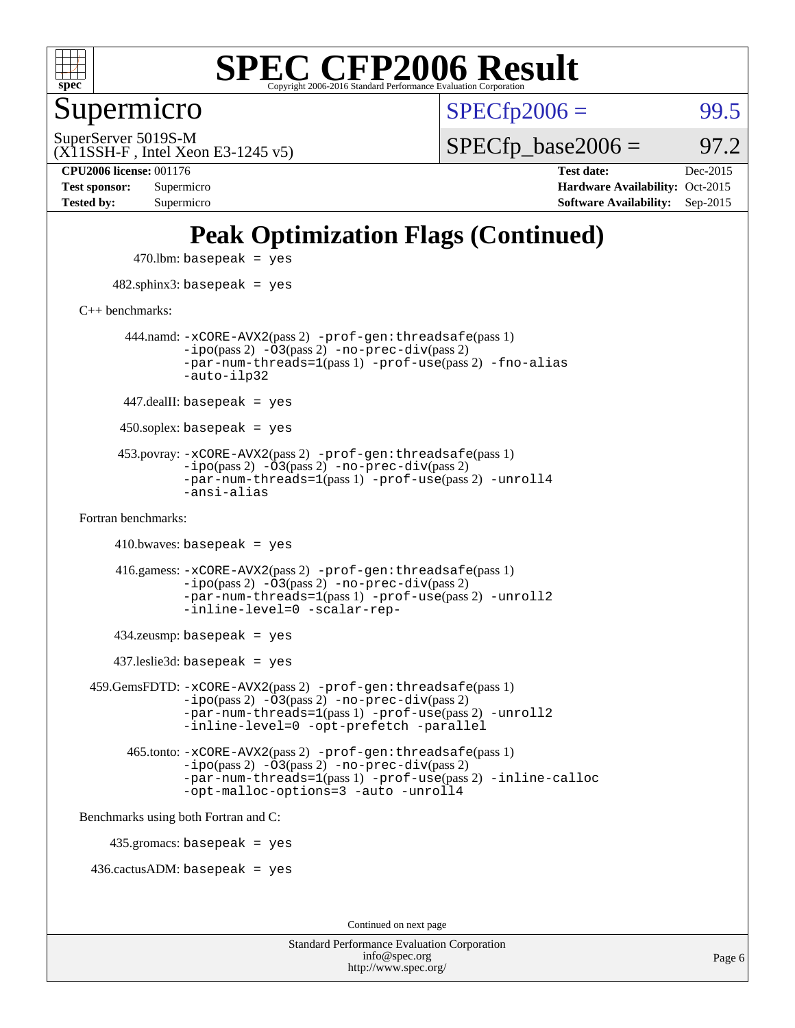

Supermicro

 $SPECTp2006 =$  99.5

(X11SSH-F , Intel Xeon E3-1245 v5) SuperServer 5019S-M

 $SPECTp\_base2006 = 97.2$ 

**[Tested by:](http://www.spec.org/auto/cpu2006/Docs/result-fields.html#Testedby)** Supermicro **[Software Availability:](http://www.spec.org/auto/cpu2006/Docs/result-fields.html#SoftwareAvailability)** Sep-2015

**[CPU2006 license:](http://www.spec.org/auto/cpu2006/Docs/result-fields.html#CPU2006license)** 001176 **[Test date:](http://www.spec.org/auto/cpu2006/Docs/result-fields.html#Testdate)** Dec-2015 **[Test sponsor:](http://www.spec.org/auto/cpu2006/Docs/result-fields.html#Testsponsor)** Supermicro **[Hardware Availability:](http://www.spec.org/auto/cpu2006/Docs/result-fields.html#HardwareAvailability)** Oct-2015

### **[Peak Optimization Flags \(Continued\)](http://www.spec.org/auto/cpu2006/Docs/result-fields.html#PeakOptimizationFlags)**

 $470$ .lbm: basepeak = yes 482.sphinx3: basepeak = yes [C++ benchmarks:](http://www.spec.org/auto/cpu2006/Docs/result-fields.html#CXXbenchmarks) 444.namd: [-xCORE-AVX2](http://www.spec.org/cpu2006/results/res2016q1/cpu2006-20151217-38458.flags.html#user_peakPASS2_CXXFLAGSPASS2_LDFLAGS444_namd_f-xAVX2_5f5fc0cbe2c9f62c816d3e45806c70d7)(pass 2) [-prof-gen:threadsafe](http://www.spec.org/cpu2006/results/res2016q1/cpu2006-20151217-38458.flags.html#user_peakPASS1_CXXFLAGSPASS1_LDFLAGS444_namd_prof_gen_21a26eb79f378b550acd7bec9fe4467a)(pass 1)  $-i\text{po}(pass 2) -\overline{0}3(pass 2) -no-prec-div(pass 2)$  $-i\text{po}(pass 2) -\overline{0}3(pass 2) -no-prec-div(pass 2)$  $-i\text{po}(pass 2) -\overline{0}3(pass 2) -no-prec-div(pass 2)$ [-par-num-threads=1](http://www.spec.org/cpu2006/results/res2016q1/cpu2006-20151217-38458.flags.html#user_peakPASS1_CXXFLAGSPASS1_LDFLAGS444_namd_par_num_threads_786a6ff141b4e9e90432e998842df6c2)(pass 1) [-prof-use](http://www.spec.org/cpu2006/results/res2016q1/cpu2006-20151217-38458.flags.html#user_peakPASS2_CXXFLAGSPASS2_LDFLAGS444_namd_prof_use_bccf7792157ff70d64e32fe3e1250b55)(pass 2) [-fno-alias](http://www.spec.org/cpu2006/results/res2016q1/cpu2006-20151217-38458.flags.html#user_peakCXXOPTIMIZEOPTIMIZE444_namd_f-no-alias_694e77f6c5a51e658e82ccff53a9e63a) [-auto-ilp32](http://www.spec.org/cpu2006/results/res2016q1/cpu2006-20151217-38458.flags.html#user_peakCXXOPTIMIZE444_namd_f-auto-ilp32)  $447$ .dealII: basepeak = yes 450.soplex: basepeak = yes 453.povray: [-xCORE-AVX2](http://www.spec.org/cpu2006/results/res2016q1/cpu2006-20151217-38458.flags.html#user_peakPASS2_CXXFLAGSPASS2_LDFLAGS453_povray_f-xAVX2_5f5fc0cbe2c9f62c816d3e45806c70d7)(pass 2) [-prof-gen:threadsafe](http://www.spec.org/cpu2006/results/res2016q1/cpu2006-20151217-38458.flags.html#user_peakPASS1_CXXFLAGSPASS1_LDFLAGS453_povray_prof_gen_21a26eb79f378b550acd7bec9fe4467a)(pass 1)  $-ipo(pass 2)$  $-ipo(pass 2)$   $-03(pass 2)$   $-no-prec-div(pass 2)$  $-no-prec-div(pass 2)$ [-par-num-threads=1](http://www.spec.org/cpu2006/results/res2016q1/cpu2006-20151217-38458.flags.html#user_peakPASS1_CXXFLAGSPASS1_LDFLAGS453_povray_par_num_threads_786a6ff141b4e9e90432e998842df6c2)(pass 1) [-prof-use](http://www.spec.org/cpu2006/results/res2016q1/cpu2006-20151217-38458.flags.html#user_peakPASS2_CXXFLAGSPASS2_LDFLAGS453_povray_prof_use_bccf7792157ff70d64e32fe3e1250b55)(pass 2) [-unroll4](http://www.spec.org/cpu2006/results/res2016q1/cpu2006-20151217-38458.flags.html#user_peakCXXOPTIMIZE453_povray_f-unroll_4e5e4ed65b7fd20bdcd365bec371b81f) [-ansi-alias](http://www.spec.org/cpu2006/results/res2016q1/cpu2006-20151217-38458.flags.html#user_peakCXXOPTIMIZE453_povray_f-ansi-alias) [Fortran benchmarks](http://www.spec.org/auto/cpu2006/Docs/result-fields.html#Fortranbenchmarks):  $410.bwaves: basepeak = yes$  416.gamess: [-xCORE-AVX2](http://www.spec.org/cpu2006/results/res2016q1/cpu2006-20151217-38458.flags.html#user_peakPASS2_FFLAGSPASS2_LDFLAGS416_gamess_f-xAVX2_5f5fc0cbe2c9f62c816d3e45806c70d7)(pass 2) [-prof-gen:threadsafe](http://www.spec.org/cpu2006/results/res2016q1/cpu2006-20151217-38458.flags.html#user_peakPASS1_FFLAGSPASS1_LDFLAGS416_gamess_prof_gen_21a26eb79f378b550acd7bec9fe4467a)(pass 1)  $-i\text{po}(pass 2)$   $-\tilde{O}3(pass 2)$   $-no-prec-div(pass 2)$  $-no-prec-div(pass 2)$ [-par-num-threads=1](http://www.spec.org/cpu2006/results/res2016q1/cpu2006-20151217-38458.flags.html#user_peakPASS1_FFLAGSPASS1_LDFLAGS416_gamess_par_num_threads_786a6ff141b4e9e90432e998842df6c2)(pass 1) [-prof-use](http://www.spec.org/cpu2006/results/res2016q1/cpu2006-20151217-38458.flags.html#user_peakPASS2_FFLAGSPASS2_LDFLAGS416_gamess_prof_use_bccf7792157ff70d64e32fe3e1250b55)(pass 2) [-unroll2](http://www.spec.org/cpu2006/results/res2016q1/cpu2006-20151217-38458.flags.html#user_peakOPTIMIZE416_gamess_f-unroll_784dae83bebfb236979b41d2422d7ec2) [-inline-level=0](http://www.spec.org/cpu2006/results/res2016q1/cpu2006-20151217-38458.flags.html#user_peakOPTIMIZE416_gamess_f-inline-level_318d07a09274ad25e8d15dbfaa68ba50) [-scalar-rep-](http://www.spec.org/cpu2006/results/res2016q1/cpu2006-20151217-38458.flags.html#user_peakOPTIMIZE416_gamess_f-disablescalarrep_abbcad04450fb118e4809c81d83c8a1d) 434.zeusmp: basepeak = yes 437.leslie3d: basepeak = yes 459.GemsFDTD: [-xCORE-AVX2](http://www.spec.org/cpu2006/results/res2016q1/cpu2006-20151217-38458.flags.html#user_peakPASS2_FFLAGSPASS2_LDFLAGS459_GemsFDTD_f-xAVX2_5f5fc0cbe2c9f62c816d3e45806c70d7)(pass 2) [-prof-gen:threadsafe](http://www.spec.org/cpu2006/results/res2016q1/cpu2006-20151217-38458.flags.html#user_peakPASS1_FFLAGSPASS1_LDFLAGS459_GemsFDTD_prof_gen_21a26eb79f378b550acd7bec9fe4467a)(pass 1)  $-i\text{po}(pass 2) -\overline{0}3(pass 2) -no-prec-div(pass 2)$  $-i\text{po}(pass 2) -\overline{0}3(pass 2) -no-prec-div(pass 2)$  $-i\text{po}(pass 2) -\overline{0}3(pass 2) -no-prec-div(pass 2)$ [-par-num-threads=1](http://www.spec.org/cpu2006/results/res2016q1/cpu2006-20151217-38458.flags.html#user_peakPASS1_FFLAGSPASS1_LDFLAGS459_GemsFDTD_par_num_threads_786a6ff141b4e9e90432e998842df6c2)(pass 1) [-prof-use](http://www.spec.org/cpu2006/results/res2016q1/cpu2006-20151217-38458.flags.html#user_peakPASS2_FFLAGSPASS2_LDFLAGS459_GemsFDTD_prof_use_bccf7792157ff70d64e32fe3e1250b55)(pass 2) [-unroll2](http://www.spec.org/cpu2006/results/res2016q1/cpu2006-20151217-38458.flags.html#user_peakOPTIMIZE459_GemsFDTD_f-unroll_784dae83bebfb236979b41d2422d7ec2) [-inline-level=0](http://www.spec.org/cpu2006/results/res2016q1/cpu2006-20151217-38458.flags.html#user_peakOPTIMIZE459_GemsFDTD_f-inline-level_318d07a09274ad25e8d15dbfaa68ba50) [-opt-prefetch](http://www.spec.org/cpu2006/results/res2016q1/cpu2006-20151217-38458.flags.html#user_peakOPTIMIZE459_GemsFDTD_f-opt-prefetch) [-parallel](http://www.spec.org/cpu2006/results/res2016q1/cpu2006-20151217-38458.flags.html#user_peakOPTIMIZE459_GemsFDTD_f-parallel) 465.tonto: [-xCORE-AVX2](http://www.spec.org/cpu2006/results/res2016q1/cpu2006-20151217-38458.flags.html#user_peakPASS2_FFLAGSPASS2_LDFLAGS465_tonto_f-xAVX2_5f5fc0cbe2c9f62c816d3e45806c70d7)(pass 2) [-prof-gen:threadsafe](http://www.spec.org/cpu2006/results/res2016q1/cpu2006-20151217-38458.flags.html#user_peakPASS1_FFLAGSPASS1_LDFLAGS465_tonto_prof_gen_21a26eb79f378b550acd7bec9fe4467a)(pass 1)  $-i\text{po}(pass 2) -\overline{O}3(pass 2)$  [-no-prec-div](http://www.spec.org/cpu2006/results/res2016q1/cpu2006-20151217-38458.flags.html#user_peakPASS2_FFLAGSPASS2_LDFLAGS465_tonto_f-no-prec-div)(pass 2) [-par-num-threads=1](http://www.spec.org/cpu2006/results/res2016q1/cpu2006-20151217-38458.flags.html#user_peakPASS1_FFLAGSPASS1_LDFLAGS465_tonto_par_num_threads_786a6ff141b4e9e90432e998842df6c2)(pass 1) [-prof-use](http://www.spec.org/cpu2006/results/res2016q1/cpu2006-20151217-38458.flags.html#user_peakPASS2_FFLAGSPASS2_LDFLAGS465_tonto_prof_use_bccf7792157ff70d64e32fe3e1250b55)(pass 2) [-inline-calloc](http://www.spec.org/cpu2006/results/res2016q1/cpu2006-20151217-38458.flags.html#user_peakOPTIMIZE465_tonto_f-inline-calloc) [-opt-malloc-options=3](http://www.spec.org/cpu2006/results/res2016q1/cpu2006-20151217-38458.flags.html#user_peakOPTIMIZE465_tonto_f-opt-malloc-options_13ab9b803cf986b4ee62f0a5998c2238) [-auto](http://www.spec.org/cpu2006/results/res2016q1/cpu2006-20151217-38458.flags.html#user_peakOPTIMIZE465_tonto_f-auto) [-unroll4](http://www.spec.org/cpu2006/results/res2016q1/cpu2006-20151217-38458.flags.html#user_peakOPTIMIZE465_tonto_f-unroll_4e5e4ed65b7fd20bdcd365bec371b81f) [Benchmarks using both Fortran and C](http://www.spec.org/auto/cpu2006/Docs/result-fields.html#BenchmarksusingbothFortranandC): 435.gromacs: basepeak = yes 436.cactusADM: basepeak = yes Continued on next page